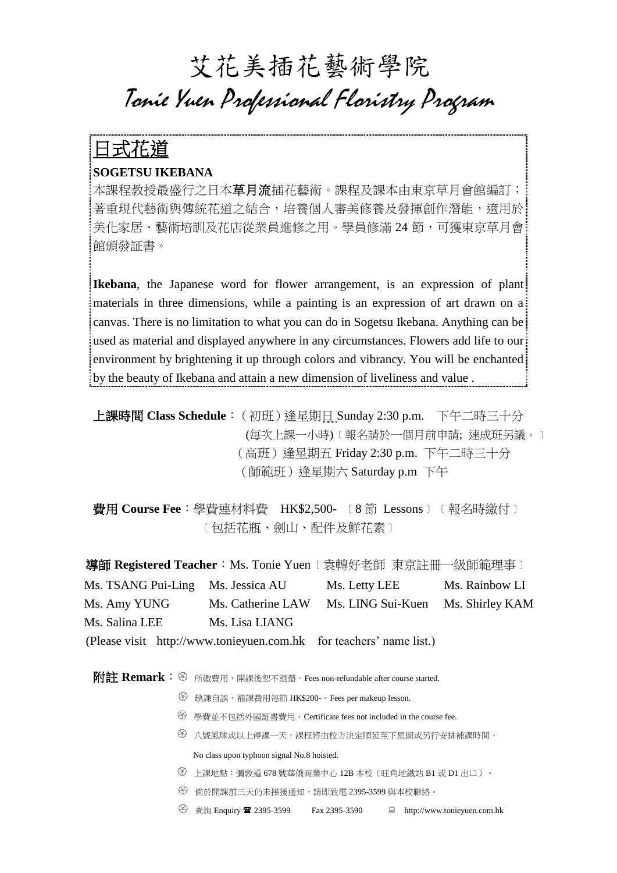## 艾花美插花藝術學院 Tonie Yuen Professional Floristry Program

## 日式花道

## **SOGETSU IKEBANA**

本課程教授最盛行之日本草月流插花藝術。課程及課本由東京草月會館編訂; 著重現代藝術與傳統花道之結合,培養個人審美修養及發揮創作潛能,適用於 美化家居、藝術培訓及花店從業員進修之用。學員修滿 24節 ,可獲東京草月會 館頒發証書。

**Ikebana**, the Japanese word for flower arrangement, is an expression of plant materials in three dimensions, while a painting is an expression of art drawn on a canvas. There is no limitation to what you can do in Sogetsu Ikebana. Anything can be used as material and displayed anywhere in any circumstances. Flowers add life to our environment by brightening it up through colors and vibrancy. You will be enchanted by the beauty of Ikebana and attain a new dimension of liveliness and value .

上課時間 **Class Schedule**:(初班)逢星期日 Sunday 2:30 p.m. 下午二時三十分 (每次上課一小時)﹝報名請於一個月前申請; 速成班另議。﹞ (高班)逢星期五 Friday 2:30 p.m. 下午二時三十分 (師範班)逢星期六 Saturday p.m 下午

費用 **Course Fee**:學費連材料費 HK\$2,500- ﹝8 節 Lessons﹞﹝報名時繳付﹞ ﹝包括花瓶、劍山、配件及鮮花素﹞

導師 **Registered Teacher**:Ms. Tonie Yuen﹝袁轉好老師 東京註冊一級師範理事﹞ Ms. TSANG Pui-Ling Ms. Jessica AU Ms. Letty LEE Ms. Rainbow LI Ms. Amy YUNG Ms. Catherine LAW Ms. LING Sui-Kuen Ms. Shirley KAM Ms. Salina LEE Ms. Lisa LIANG

(Please visit [http://www.tonieyuen.com.hk](http://hk.photos.yahoo.com/tonie_yuen) for teachers' name list.)

**附註 Remark:** <sup>8</sup> 所繳費用,開課後恕不退還。Fees non-refundable after course started.

- 缺課自誤,補課費用每節 HK\$200-。Fees per makeup lesson.
- 學費並不包括外國証書費用。Certificate fees not included in the course fee.
- 八號風球或以上停課一天,課程將由校方決定順延至下星期或另行安排補課時間。 No class upon typhoon signal No.8 hoisted.
- 上課地點:彌敦道 <sup>678</sup> 號華僑商業中心 12B 本校(旺角地鐵站 B1 <sup>或</sup> D1 出口)。
- 倘於開課前三天仍未接獲通知,請即致電 2395-3599 與本校聯絡。

<sup>④</sup> 查詢 Enquiry <sup>2</sup> 2395-3599 Fax 2395-3590 ■ http://www.tonieyuen.com.hk